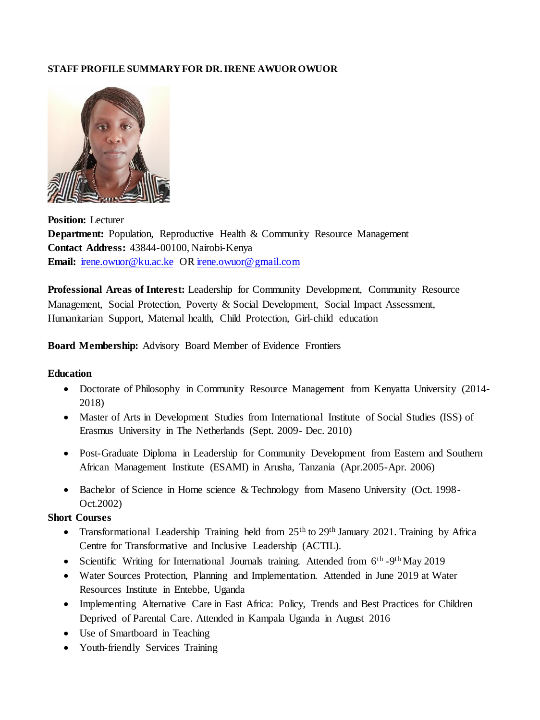## **STAFF PROFILE SUMMARY FOR DR. IRENE AWUOR OWUOR**



**Position:** Lecturer **Department:** Population, Reproductive Health & Community Resource Management **Contact Address:** 43844-00100, Nairobi-Kenya **Email:** [irene.owuor@ku.ac.ke](mailto:irene.owuor@ku.ac.ke) OR [irene.owuor@gmail.com](mailto:irene.owuor@gmail.com)

**Professional Areas of Interest:** Leadership for Community Development, Community Resource Management, Social Protection, Poverty & Social Development, Social Impact Assessment, Humanitarian Support, Maternal health, Child Protection, Girl-child education

**Board Membership:** Advisory Board Member of Evidence Frontiers

#### **Education**

- Doctorate of Philosophy in Community Resource Management from Kenyatta University (2014- 2018)
- Master of Arts in Development Studies from International Institute of Social Studies (ISS) of Erasmus University in The Netherlands (Sept. 2009- Dec. 2010)
- Post-Graduate Diploma in Leadership for Community Development from Eastern and Southern African Management Institute (ESAMI) in Arusha, Tanzania (Apr.2005-Apr. 2006)
- Bachelor of Science in Home science & Technology from Maseno University (Oct. 1998- Oct.2002)

#### **Short Courses**

- Transformational Leadership Training held from  $25<sup>th</sup>$  to  $29<sup>th</sup>$  January 2021. Training by Africa Centre for Transformative and Inclusive Leadership (ACTIL).
- Scientific Writing for International Journals training. Attended from 6<sup>th</sup> -9<sup>th</sup> May 2019
- Water Sources Protection, Planning and Implementation. Attended in June 2019 at Water Resources Institute in Entebbe, Uganda
- Implementing Alternative Care in East Africa: Policy, Trends and Best Practices for Children Deprived of Parental Care. Attended in Kampala Uganda in August 2016
- Use of Smartboard in Teaching
- Youth-friendly Services Training